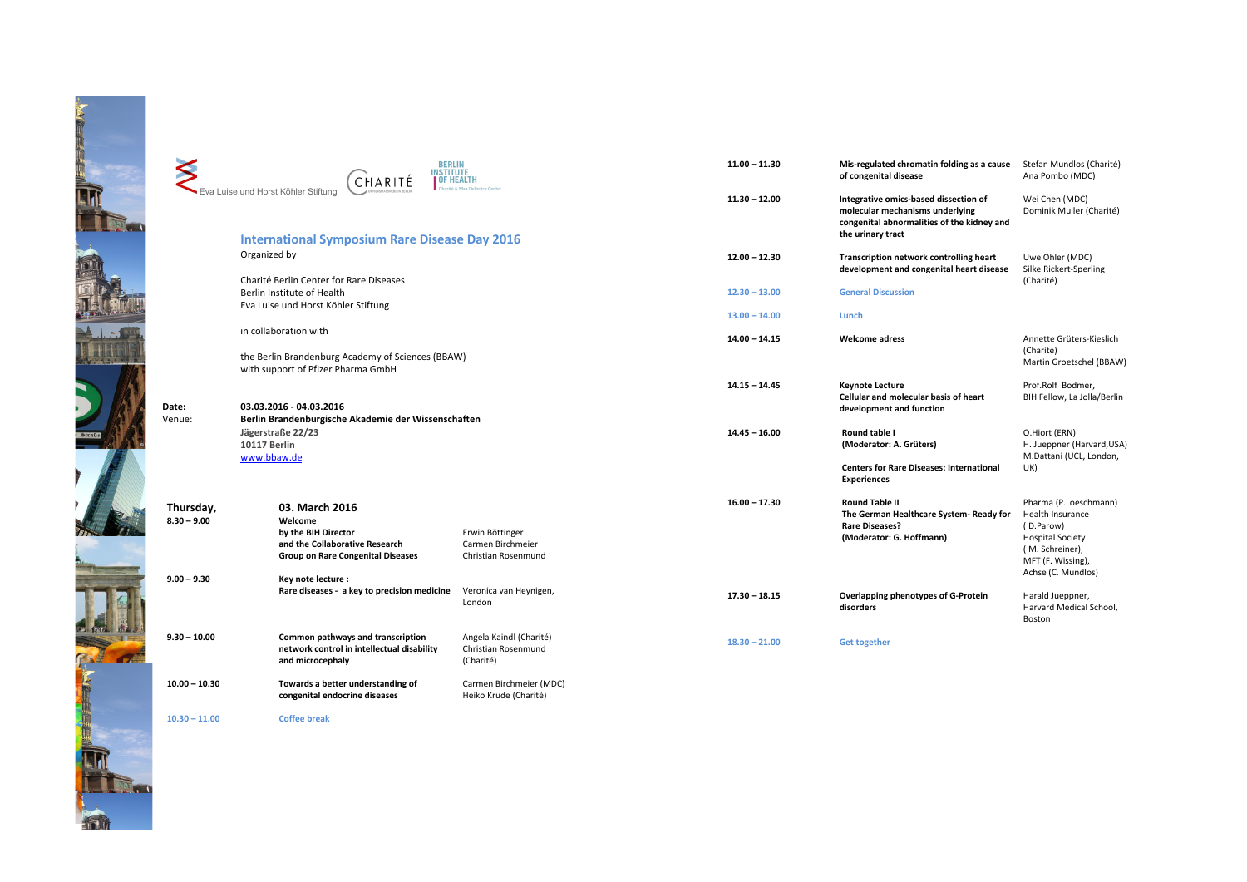|     |                 | <b>BERLIN</b>                                                                                                                             |                                                             | $11.00 - 1$ |
|-----|-----------------|-------------------------------------------------------------------------------------------------------------------------------------------|-------------------------------------------------------------|-------------|
|     |                 | <b>INSTITUTE</b><br>CHARITÉ<br>Eva Luise und Horst Köhler Stiftung                                                                        | <b>OF HEALTH</b><br>telbrück Center                         | $11.30 - 1$ |
|     |                 | <b>International Symposium Rare Disease Day 2016</b><br>Organized by                                                                      |                                                             | $12.00 - 1$ |
|     |                 | Charité Berlin Center for Rare Diseases<br>Berlin Institute of Health<br>Eva Luise und Horst Köhler Stiftung                              |                                                             | $12.30 - 1$ |
|     |                 |                                                                                                                                           |                                                             | $13.00 - 1$ |
|     |                 | in collaboration with                                                                                                                     |                                                             | $14.00 - 1$ |
|     |                 | the Berlin Brandenburg Academy of Sciences (BBAW)<br>with support of Pfizer Pharma GmbH                                                   |                                                             |             |
|     |                 |                                                                                                                                           |                                                             | $14.15 - 1$ |
|     | Date:<br>Venue: | 03.03.2016 - 04.03.2016<br>Berlin Brandenburgische Akademie der Wissenschaften<br>Jägerstraße 22/23<br><b>10117 Berlin</b><br>www.bbaw.de |                                                             |             |
|     | Thursday,       | 03. March 2016                                                                                                                            |                                                             | $16.00 - 1$ |
|     | $8.30 - 9.00$   | Welcome<br>by the BIH Director<br>and the Collaborative Research<br><b>Group on Rare Congenital Diseases</b>                              | Erwin Böttinger<br>Carmen Birchmeier<br>Christian Rosenmund |             |
|     | $9.00 - 9.30$   | Key note lecture :<br>Rare diseases - a key to precision medicine                                                                         | Veronica van Heynigen,<br>London                            | $17.30 - 1$ |
|     | $9.30 - 10.00$  | Common pathways and transcription<br>network control in intellectual disability<br>and microcephaly                                       | Angela Kaindl (Charité)<br>Christian Rosenmund<br>(Charité) | $18.30 - 2$ |
| EEE | $10.00 - 10.30$ | Towards a better understanding of<br>congenital endocrine diseases                                                                        | Carmen Birchmeier (MDC)<br>Heiko Krude (Charité)            |             |
|     | $10.30 - 11.00$ | <b>Coffee break</b>                                                                                                                       |                                                             |             |

| $11.00 - 11.30$ | Mis-regulated chromatin folding as a cause<br>of congenital disease                                                                         | Stefan Mundlos (Charité)<br>Ana Pombo (MDC)                                                                                                            |
|-----------------|---------------------------------------------------------------------------------------------------------------------------------------------|--------------------------------------------------------------------------------------------------------------------------------------------------------|
| 11.30 - 12.00   | Integrative omics-based dissection of<br>molecular mechanisms underlying<br>congenital abnormalities of the kidney and<br>the urinary tract | Wei Chen (MDC)<br>Dominik Muller (Charité)                                                                                                             |
| $12.00 - 12.30$ | Transcription network controlling heart<br>development and congenital heart disease                                                         | Uwe Ohler (MDC)<br>Silke Rickert-Sperling<br>(Charité)                                                                                                 |
| $12.30 - 13.00$ | <b>General Discussion</b>                                                                                                                   |                                                                                                                                                        |
| $13.00 - 14.00$ | Lunch                                                                                                                                       |                                                                                                                                                        |
| 14.00 - 14.15   | <b>Welcome adress</b>                                                                                                                       | Annette Grüters-Kieslich<br>(Charité)<br>Martin Groetschel (BBAW)                                                                                      |
| $14.15 - 14.45$ | <b>Keynote Lecture</b><br><b>Cellular and molecular basis of heart</b><br>development and function                                          | Prof.Rolf Bodmer,<br>BIH Fellow, La Jolla/Berlin                                                                                                       |
| 14.45 - 16.00   | Round table I<br>(Moderator: A. Grüters)                                                                                                    | O.Hiort (ERN)<br>H. Jueppner (Harvard, USA)<br>M.Dattani (UCL, London,                                                                                 |
|                 | <b>Centers for Rare Diseases: International</b><br><b>Experiences</b>                                                                       | UK)                                                                                                                                                    |
| $16.00 - 17.30$ | <b>Round Table II</b><br>The German Healthcare System- Ready for<br><b>Rare Diseases?</b><br>(Moderator: G. Hoffmann)                       | Pharma (P.Loeschmann)<br><b>Health Insurance</b><br>(D.Parow)<br><b>Hospital Society</b><br>(M. Schreiner),<br>MFT (F. Wissing),<br>Achse (C. Mundlos) |
| $17.30 - 18.15$ | Overlapping phenotypes of G-Protein<br>disorders                                                                                            | Harald Jueppner,<br>Harvard Medical School,<br>Boston                                                                                                  |
| $18.30 - 21.00$ | <b>Get together</b>                                                                                                                         |                                                                                                                                                        |

LIN. **First**